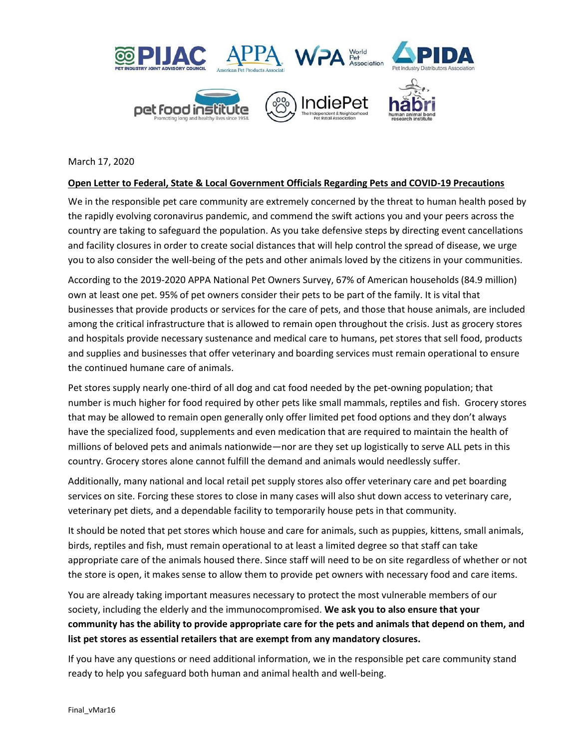

March 17, 2020

## **Open Letter to Federal, State & Local Government Officials Regarding Pets and COVID-19 Precautions**

We in the responsible pet care community are extremely concerned by the threat to human health posed by the rapidly evolving coronavirus pandemic, and commend the swift actions you and your peers across the country are taking to safeguard the population. As you take defensive steps by directing event cancellations and facility closures in order to create social distances that will help control the spread of disease, we urge you to also consider the well-being of the pets and other animals loved by the citizens in your communities.

According to the 2019-2020 APPA National Pet Owners Survey, 67% of American households (84.9 million) own at least one pet. 95% of pet owners consider their pets to be part of the family. It is vital that businesses that provide products or services for the care of pets, and those that house animals, are included among the critical infrastructure that is allowed to remain open throughout the crisis. Just as grocery stores and hospitals provide necessary sustenance and medical care to humans, pet stores that sell food, products and supplies and businesses that offer veterinary and boarding services must remain operational to ensure the continued humane care of animals.

Pet stores supply nearly one-third of all dog and cat food needed by the pet-owning population; that number is much higher for food required by other pets like small mammals, reptiles and fish. Grocery stores that may be allowed to remain open generally only offer limited pet food options and they don't always have the specialized food, supplements and even medication that are required to maintain the health of millions of beloved pets and animals nationwide—nor are they set up logistically to serve ALL pets in this country. Grocery stores alone cannot fulfill the demand and animals would needlessly suffer.

Additionally, many national and local retail pet supply stores also offer veterinary care and pet boarding services on site. Forcing these stores to close in many cases will also shut down access to veterinary care, veterinary pet diets, and a dependable facility to temporarily house pets in that community.

It should be noted that pet stores which house and care for animals, such as puppies, kittens, small animals, birds, reptiles and fish, must remain operational to at least a limited degree so that staff can take appropriate care of the animals housed there. Since staff will need to be on site regardless of whether or not the store is open, it makes sense to allow them to provide pet owners with necessary food and care items.

You are already taking important measures necessary to protect the most vulnerable members of our society, including the elderly and the immunocompromised. **We ask you to also ensure that your community has the ability to provide appropriate care for the pets and animals that depend on them, and list pet stores as essential retailers that are exempt from any mandatory closures.**

If you have any questions or need additional information, we in the responsible pet care community stand ready to help you safeguard both human and animal health and well-being.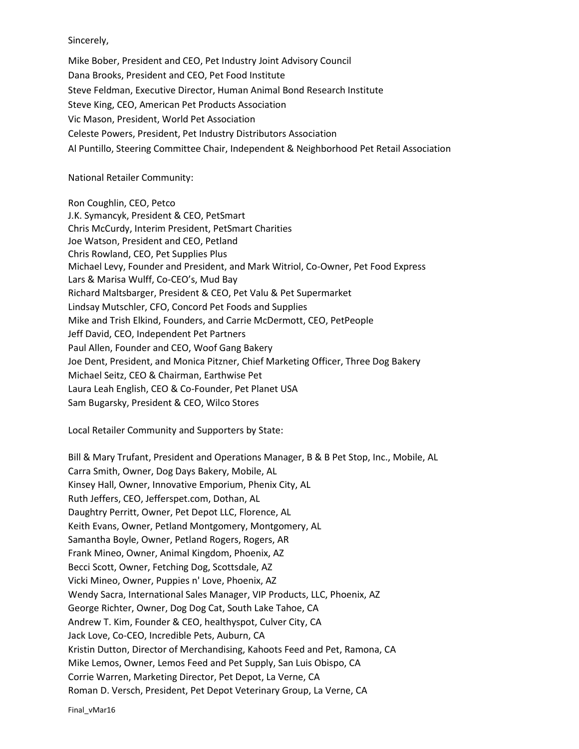Sincerely,

Mike Bober, President and CEO, Pet Industry Joint Advisory Council Dana Brooks, President and CEO, Pet Food Institute Steve Feldman, Executive Director, Human Animal Bond Research Institute Steve King, CEO, American Pet Products Association Vic Mason, President, World Pet Association Celeste Powers, President, Pet Industry Distributors Association Al Puntillo, Steering Committee Chair, Independent & Neighborhood Pet Retail Association

## National Retailer Community:

Ron Coughlin, CEO, Petco J.K. Symancyk, President & CEO, PetSmart Chris McCurdy, Interim President, PetSmart Charities Joe Watson, President and CEO, Petland Chris Rowland, CEO, Pet Supplies Plus Michael Levy, Founder and President, and Mark Witriol, Co-Owner, Pet Food Express Lars & Marisa Wulff, Co-CEO's, Mud Bay Richard Maltsbarger, President & CEO, Pet Valu & Pet Supermarket Lindsay Mutschler, CFO, Concord Pet Foods and Supplies Mike and Trish Elkind, Founders, and Carrie McDermott, CEO, PetPeople Jeff David, CEO, Independent Pet Partners Paul Allen, Founder and CEO, Woof Gang Bakery Joe Dent, President, and Monica Pitzner, Chief Marketing Officer, Three Dog Bakery Michael Seitz, CEO & Chairman, Earthwise Pet Laura Leah English, CEO & Co-Founder, Pet Planet USA Sam Bugarsky, President & CEO, Wilco Stores

Local Retailer Community and Supporters by State:

Bill & Mary Trufant, President and Operations Manager, B & B Pet Stop, Inc., Mobile, AL Carra Smith, Owner, Dog Days Bakery, Mobile, AL Kinsey Hall, Owner, Innovative Emporium, Phenix City, AL Ruth Jeffers, CEO, Jefferspet.com, Dothan, AL Daughtry Perritt, Owner, Pet Depot LLC, Florence, AL Keith Evans, Owner, Petland Montgomery, Montgomery, AL Samantha Boyle, Owner, Petland Rogers, Rogers, AR Frank Mineo, Owner, Animal Kingdom, Phoenix, AZ Becci Scott, Owner, Fetching Dog, Scottsdale, AZ Vicki Mineo, Owner, Puppies n' Love, Phoenix, AZ Wendy Sacra, International Sales Manager, VIP Products, LLC, Phoenix, AZ George Richter, Owner, Dog Dog Cat, South Lake Tahoe, CA Andrew T. Kim, Founder & CEO, healthyspot, Culver City, CA Jack Love, Co-CEO, Incredible Pets, Auburn, CA Kristin Dutton, Director of Merchandising, Kahoots Feed and Pet, Ramona, CA Mike Lemos, Owner, Lemos Feed and Pet Supply, San Luis Obispo, CA Corrie Warren, Marketing Director, Pet Depot, La Verne, CA Roman D. Versch, President, Pet Depot Veterinary Group, La Verne, CA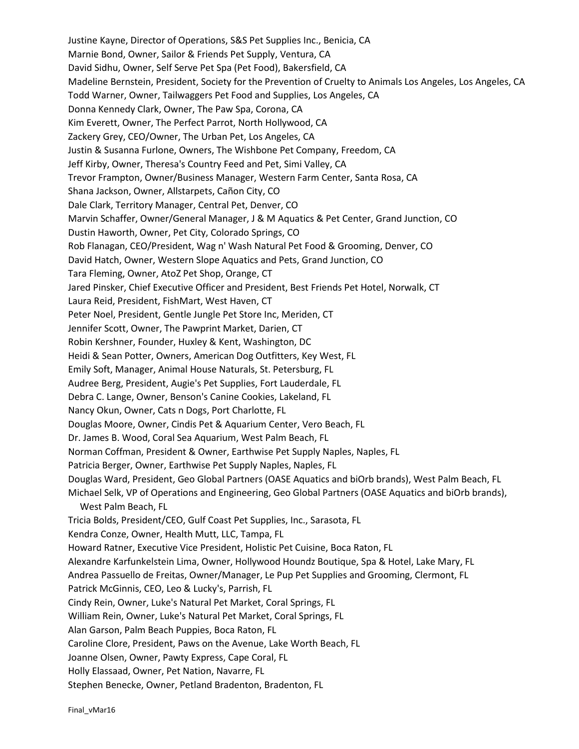Justine Kayne, Director of Operations, S&S Pet Supplies Inc., Benicia, CA Marnie Bond, Owner, Sailor & Friends Pet Supply, Ventura, CA David Sidhu, Owner, Self Serve Pet Spa (Pet Food), Bakersfield, CA Madeline Bernstein, President, Society for the Prevention of Cruelty to Animals Los Angeles, Los Angeles, CA Todd Warner, Owner, Tailwaggers Pet Food and Supplies, Los Angeles, CA Donna Kennedy Clark, Owner, The Paw Spa, Corona, CA Kim Everett, Owner, The Perfect Parrot, North Hollywood, CA Zackery Grey, CEO/Owner, The Urban Pet, Los Angeles, CA Justin & Susanna Furlone, Owners, The Wishbone Pet Company, Freedom, CA Jeff Kirby, Owner, Theresa's Country Feed and Pet, Simi Valley, CA Trevor Frampton, Owner/Business Manager, Western Farm Center, Santa Rosa, CA Shana Jackson, Owner, Allstarpets, Cañon City, CO Dale Clark, Territory Manager, Central Pet, Denver, CO Marvin Schaffer, Owner/General Manager, J & M Aquatics & Pet Center, Grand Junction, CO Dustin Haworth, Owner, Pet City, Colorado Springs, CO Rob Flanagan, CEO/President, Wag n' Wash Natural Pet Food & Grooming, Denver, CO David Hatch, Owner, Western Slope Aquatics and Pets, Grand Junction, CO Tara Fleming, Owner, AtoZ Pet Shop, Orange, CT Jared Pinsker, Chief Executive Officer and President, Best Friends Pet Hotel, Norwalk, CT Laura Reid, President, FishMart, West Haven, CT Peter Noel, President, Gentle Jungle Pet Store Inc, Meriden, CT Jennifer Scott, Owner, The Pawprint Market, Darien, CT Robin Kershner, Founder, Huxley & Kent, Washington, DC Heidi & Sean Potter, Owners, American Dog Outfitters, Key West, FL Emily Soft, Manager, Animal House Naturals, St. Petersburg, FL Audree Berg, President, Augie's Pet Supplies, Fort Lauderdale, FL Debra C. Lange, Owner, Benson's Canine Cookies, Lakeland, FL Nancy Okun, Owner, Cats n Dogs, Port Charlotte, FL Douglas Moore, Owner, Cindis Pet & Aquarium Center, Vero Beach, FL Dr. James B. Wood, Coral Sea Aquarium, West Palm Beach, FL Norman Coffman, President & Owner, Earthwise Pet Supply Naples, Naples, FL Patricia Berger, Owner, Earthwise Pet Supply Naples, Naples, FL Douglas Ward, President, Geo Global Partners (OASE Aquatics and biOrb brands), West Palm Beach, FL Michael Selk, VP of Operations and Engineering, Geo Global Partners (OASE Aquatics and biOrb brands), West Palm Beach, FL Tricia Bolds, President/CEO, Gulf Coast Pet Supplies, Inc., Sarasota, FL Kendra Conze, Owner, Health Mutt, LLC, Tampa, FL Howard Ratner, Executive Vice President, Holistic Pet Cuisine, Boca Raton, FL Alexandre Karfunkelstein Lima, Owner, Hollywood Houndz Boutique, Spa & Hotel, Lake Mary, FL Andrea Passuello de Freitas, Owner/Manager, Le Pup Pet Supplies and Grooming, Clermont, FL Patrick McGinnis, CEO, Leo & Lucky's, Parrish, FL Cindy Rein, Owner, Luke's Natural Pet Market, Coral Springs, FL William Rein, Owner, Luke's Natural Pet Market, Coral Springs, FL Alan Garson, Palm Beach Puppies, Boca Raton, FL Caroline Clore, President, Paws on the Avenue, Lake Worth Beach, FL Joanne Olsen, Owner, Pawty Express, Cape Coral, FL Holly Elassaad, Owner, Pet Nation, Navarre, FL Stephen Benecke, Owner, Petland Bradenton, Bradenton, FL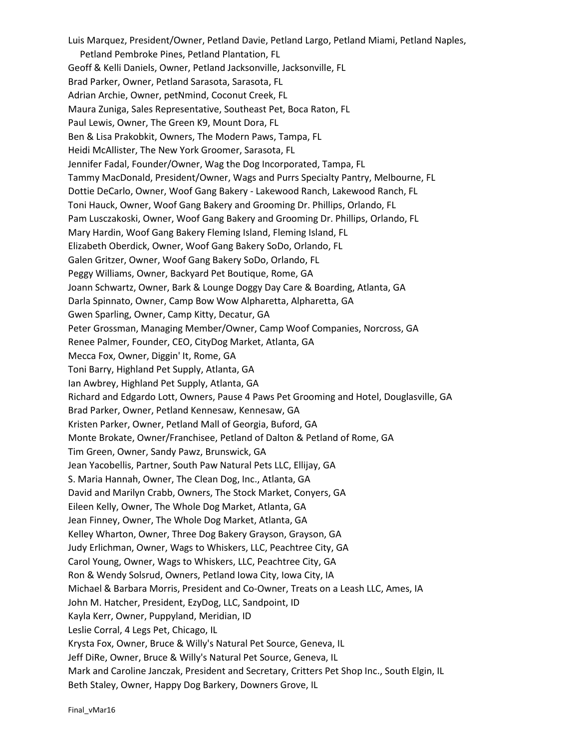Luis Marquez, President/Owner, Petland Davie, Petland Largo, Petland Miami, Petland Naples, Petland Pembroke Pines, Petland Plantation, FL Geoff & Kelli Daniels, Owner, Petland Jacksonville, Jacksonville, FL Brad Parker, Owner, Petland Sarasota, Sarasota, FL Adrian Archie, Owner, petNmind, Coconut Creek, FL Maura Zuniga, Sales Representative, Southeast Pet, Boca Raton, FL Paul Lewis, Owner, The Green K9, Mount Dora, FL Ben & Lisa Prakobkit, Owners, The Modern Paws, Tampa, FL Heidi McAllister, The New York Groomer, Sarasota, FL Jennifer Fadal, Founder/Owner, Wag the Dog Incorporated, Tampa, FL Tammy MacDonald, President/Owner, Wags and Purrs Specialty Pantry, Melbourne, FL Dottie DeCarlo, Owner, Woof Gang Bakery - Lakewood Ranch, Lakewood Ranch, FL Toni Hauck, Owner, Woof Gang Bakery and Grooming Dr. Phillips, Orlando, FL Pam Lusczakoski, Owner, Woof Gang Bakery and Grooming Dr. Phillips, Orlando, FL Mary Hardin, Woof Gang Bakery Fleming Island, Fleming Island, FL Elizabeth Oberdick, Owner, Woof Gang Bakery SoDo, Orlando, FL Galen Gritzer, Owner, Woof Gang Bakery SoDo, Orlando, FL Peggy Williams, Owner, Backyard Pet Boutique, Rome, GA Joann Schwartz, Owner, Bark & Lounge Doggy Day Care & Boarding, Atlanta, GA Darla Spinnato, Owner, Camp Bow Wow Alpharetta, Alpharetta, GA Gwen Sparling, Owner, Camp Kitty, Decatur, GA Peter Grossman, Managing Member/Owner, Camp Woof Companies, Norcross, GA Renee Palmer, Founder, CEO, CityDog Market, Atlanta, GA Mecca Fox, Owner, Diggin' It, Rome, GA Toni Barry, Highland Pet Supply, Atlanta, GA Ian Awbrey, Highland Pet Supply, Atlanta, GA Richard and Edgardo Lott, Owners, Pause 4 Paws Pet Grooming and Hotel, Douglasville, GA Brad Parker, Owner, Petland Kennesaw, Kennesaw, GA Kristen Parker, Owner, Petland Mall of Georgia, Buford, GA Monte Brokate, Owner/Franchisee, Petland of Dalton & Petland of Rome, GA Tim Green, Owner, Sandy Pawz, Brunswick, GA Jean Yacobellis, Partner, South Paw Natural Pets LLC, Ellijay, GA S. Maria Hannah, Owner, The Clean Dog, Inc., Atlanta, GA David and Marilyn Crabb, Owners, The Stock Market, Conyers, GA Eileen Kelly, Owner, The Whole Dog Market, Atlanta, GA Jean Finney, Owner, The Whole Dog Market, Atlanta, GA Kelley Wharton, Owner, Three Dog Bakery Grayson, Grayson, GA Judy Erlichman, Owner, Wags to Whiskers, LLC, Peachtree City, GA Carol Young, Owner, Wags to Whiskers, LLC, Peachtree City, GA Ron & Wendy Solsrud, Owners, Petland Iowa City, Iowa City, IA Michael & Barbara Morris, President and Co-Owner, Treats on a Leash LLC, Ames, IA John M. Hatcher, President, EzyDog, LLC, Sandpoint, ID Kayla Kerr, Owner, Puppyland, Meridian, ID Leslie Corral, 4 Legs Pet, Chicago, IL Krysta Fox, Owner, Bruce & Willy's Natural Pet Source, Geneva, IL Jeff DiRe, Owner, Bruce & Willy's Natural Pet Source, Geneva, IL Mark and Caroline Janczak, President and Secretary, Critters Pet Shop Inc., South Elgin, IL Beth Staley, Owner, Happy Dog Barkery, Downers Grove, IL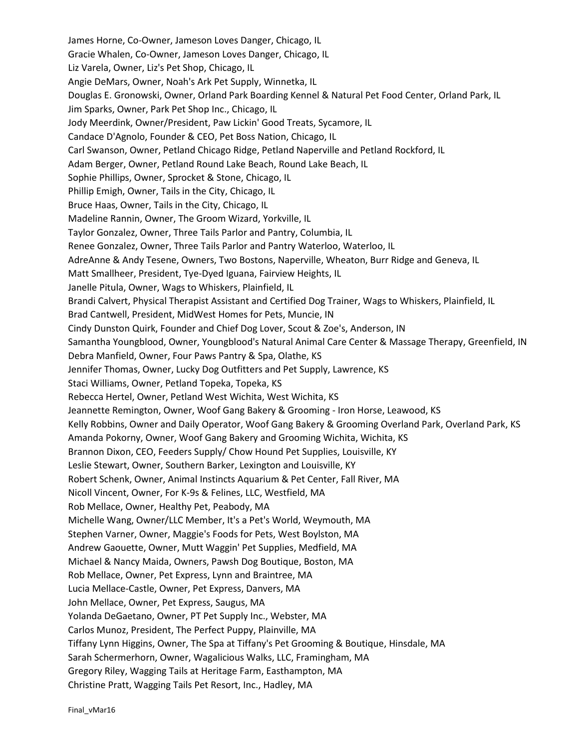James Horne, Co-Owner, Jameson Loves Danger, Chicago, IL Gracie Whalen, Co-Owner, Jameson Loves Danger, Chicago, IL Liz Varela, Owner, Liz's Pet Shop, Chicago, IL Angie DeMars, Owner, Noah's Ark Pet Supply, Winnetka, IL Douglas E. Gronowski, Owner, Orland Park Boarding Kennel & Natural Pet Food Center, Orland Park, IL Jim Sparks, Owner, Park Pet Shop Inc., Chicago, IL Jody Meerdink, Owner/President, Paw Lickin' Good Treats, Sycamore, IL Candace D'Agnolo, Founder & CEO, Pet Boss Nation, Chicago, IL Carl Swanson, Owner, Petland Chicago Ridge, Petland Naperville and Petland Rockford, IL Adam Berger, Owner, Petland Round Lake Beach, Round Lake Beach, IL Sophie Phillips, Owner, Sprocket & Stone, Chicago, IL Phillip Emigh, Owner, Tails in the City, Chicago, IL Bruce Haas, Owner, Tails in the City, Chicago, IL Madeline Rannin, Owner, The Groom Wizard, Yorkville, IL Taylor Gonzalez, Owner, Three Tails Parlor and Pantry, Columbia, IL Renee Gonzalez, Owner, Three Tails Parlor and Pantry Waterloo, Waterloo, IL AdreAnne & Andy Tesene, Owners, Two Bostons, Naperville, Wheaton, Burr Ridge and Geneva, IL Matt Smallheer, President, Tye-Dyed Iguana, Fairview Heights, IL Janelle Pitula, Owner, Wags to Whiskers, Plainfield, IL Brandi Calvert, Physical Therapist Assistant and Certified Dog Trainer, Wags to Whiskers, Plainfield, IL Brad Cantwell, President, MidWest Homes for Pets, Muncie, IN Cindy Dunston Quirk, Founder and Chief Dog Lover, Scout & Zoe's, Anderson, IN Samantha Youngblood, Owner, Youngblood's Natural Animal Care Center & Massage Therapy, Greenfield, IN Debra Manfield, Owner, Four Paws Pantry & Spa, Olathe, KS Jennifer Thomas, Owner, Lucky Dog Outfitters and Pet Supply, Lawrence, KS Staci Williams, Owner, Petland Topeka, Topeka, KS Rebecca Hertel, Owner, Petland West Wichita, West Wichita, KS Jeannette Remington, Owner, Woof Gang Bakery & Grooming - Iron Horse, Leawood, KS Kelly Robbins, Owner and Daily Operator, Woof Gang Bakery & Grooming Overland Park, Overland Park, KS Amanda Pokorny, Owner, Woof Gang Bakery and Grooming Wichita, Wichita, KS Brannon Dixon, CEO, Feeders Supply/ Chow Hound Pet Supplies, Louisville, KY Leslie Stewart, Owner, Southern Barker, Lexington and Louisville, KY Robert Schenk, Owner, Animal Instincts Aquarium & Pet Center, Fall River, MA Nicoll Vincent, Owner, For K-9s & Felines, LLC, Westfield, MA Rob Mellace, Owner, Healthy Pet, Peabody, MA Michelle Wang, Owner/LLC Member, It's a Pet's World, Weymouth, MA Stephen Varner, Owner, Maggie's Foods for Pets, West Boylston, MA Andrew Gaouette, Owner, Mutt Waggin' Pet Supplies, Medfield, MA Michael & Nancy Maida, Owners, Pawsh Dog Boutique, Boston, MA Rob Mellace, Owner, Pet Express, Lynn and Braintree, MA Lucia Mellace-Castle, Owner, Pet Express, Danvers, MA John Mellace, Owner, Pet Express, Saugus, MA Yolanda DeGaetano, Owner, PT Pet Supply Inc., Webster, MA Carlos Munoz, President, The Perfect Puppy, Plainville, MA Tiffany Lynn Higgins, Owner, The Spa at Tiffany's Pet Grooming & Boutique, Hinsdale, MA Sarah Schermerhorn, Owner, Wagalicious Walks, LLC, Framingham, MA Gregory Riley, Wagging Tails at Heritage Farm, Easthampton, MA Christine Pratt, Wagging Tails Pet Resort, Inc., Hadley, MA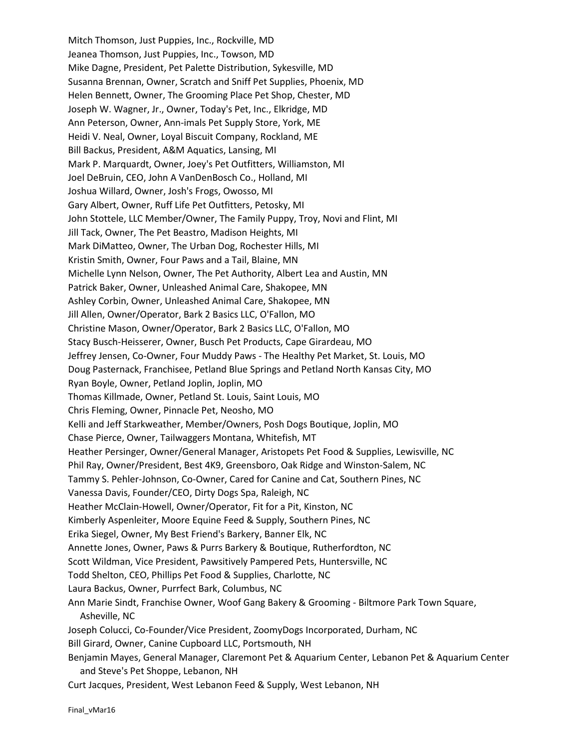Mitch Thomson, Just Puppies, Inc., Rockville, MD Jeanea Thomson, Just Puppies, Inc., Towson, MD Mike Dagne, President, Pet Palette Distribution, Sykesville, MD Susanna Brennan, Owner, Scratch and Sniff Pet Supplies, Phoenix, MD Helen Bennett, Owner, The Grooming Place Pet Shop, Chester, MD Joseph W. Wagner, Jr., Owner, Today's Pet, Inc., Elkridge, MD Ann Peterson, Owner, Ann-imals Pet Supply Store, York, ME Heidi V. Neal, Owner, Loyal Biscuit Company, Rockland, ME Bill Backus, President, A&M Aquatics, Lansing, MI Mark P. Marquardt, Owner, Joey's Pet Outfitters, Williamston, MI Joel DeBruin, CEO, John A VanDenBosch Co., Holland, MI Joshua Willard, Owner, Josh's Frogs, Owosso, MI Gary Albert, Owner, Ruff Life Pet Outfitters, Petosky, MI John Stottele, LLC Member/Owner, The Family Puppy, Troy, Novi and Flint, MI Jill Tack, Owner, The Pet Beastro, Madison Heights, MI Mark DiMatteo, Owner, The Urban Dog, Rochester Hills, MI Kristin Smith, Owner, Four Paws and a Tail, Blaine, MN Michelle Lynn Nelson, Owner, The Pet Authority, Albert Lea and Austin, MN Patrick Baker, Owner, Unleashed Animal Care, Shakopee, MN Ashley Corbin, Owner, Unleashed Animal Care, Shakopee, MN Jill Allen, Owner/Operator, Bark 2 Basics LLC, O'Fallon, MO Christine Mason, Owner/Operator, Bark 2 Basics LLC, O'Fallon, MO Stacy Busch-Heisserer, Owner, Busch Pet Products, Cape Girardeau, MO Jeffrey Jensen, Co-Owner, Four Muddy Paws - The Healthy Pet Market, St. Louis, MO Doug Pasternack, Franchisee, Petland Blue Springs and Petland North Kansas City, MO Ryan Boyle, Owner, Petland Joplin, Joplin, MO Thomas Killmade, Owner, Petland St. Louis, Saint Louis, MO Chris Fleming, Owner, Pinnacle Pet, Neosho, MO Kelli and Jeff Starkweather, Member/Owners, Posh Dogs Boutique, Joplin, MO Chase Pierce, Owner, Tailwaggers Montana, Whitefish, MT Heather Persinger, Owner/General Manager, Aristopets Pet Food & Supplies, Lewisville, NC Phil Ray, Owner/President, Best 4K9, Greensboro, Oak Ridge and Winston-Salem, NC Tammy S. Pehler-Johnson, Co-Owner, Cared for Canine and Cat, Southern Pines, NC Vanessa Davis, Founder/CEO, Dirty Dogs Spa, Raleigh, NC Heather McClain-Howell, Owner/Operator, Fit for a Pit, Kinston, NC Kimberly Aspenleiter, Moore Equine Feed & Supply, Southern Pines, NC Erika Siegel, Owner, My Best Friend's Barkery, Banner Elk, NC Annette Jones, Owner, Paws & Purrs Barkery & Boutique, Rutherfordton, NC Scott Wildman, Vice President, Pawsitively Pampered Pets, Huntersville, NC Todd Shelton, CEO, Phillips Pet Food & Supplies, Charlotte, NC Laura Backus, Owner, Purrfect Bark, Columbus, NC Ann Marie Sindt, Franchise Owner, Woof Gang Bakery & Grooming - Biltmore Park Town Square, Asheville, NC Joseph Colucci, Co-Founder/Vice President, ZoomyDogs Incorporated, Durham, NC Bill Girard, Owner, Canine Cupboard LLC, Portsmouth, NH Benjamin Mayes, General Manager, Claremont Pet & Aquarium Center, Lebanon Pet & Aquarium Center and Steve's Pet Shoppe, Lebanon, NH Curt Jacques, President, West Lebanon Feed & Supply, West Lebanon, NH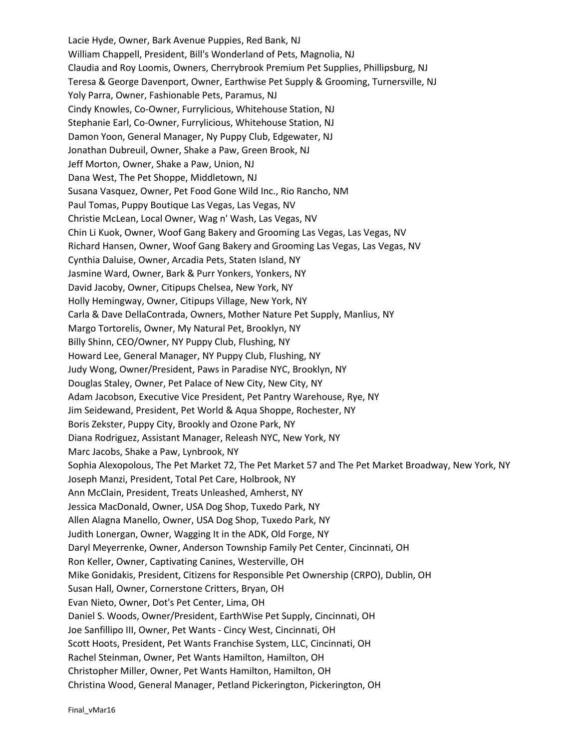Lacie Hyde, Owner, Bark Avenue Puppies, Red Bank, NJ William Chappell, President, Bill's Wonderland of Pets, Magnolia, NJ Claudia and Roy Loomis, Owners, Cherrybrook Premium Pet Supplies, Phillipsburg, NJ Teresa & George Davenport, Owner, Earthwise Pet Supply & Grooming, Turnersville, NJ Yoly Parra, Owner, Fashionable Pets, Paramus, NJ Cindy Knowles, Co-Owner, Furrylicious, Whitehouse Station, NJ Stephanie Earl, Co-Owner, Furrylicious, Whitehouse Station, NJ Damon Yoon, General Manager, Ny Puppy Club, Edgewater, NJ Jonathan Dubreuil, Owner, Shake a Paw, Green Brook, NJ Jeff Morton, Owner, Shake a Paw, Union, NJ Dana West, The Pet Shoppe, Middletown, NJ Susana Vasquez, Owner, Pet Food Gone Wild Inc., Rio Rancho, NM Paul Tomas, Puppy Boutique Las Vegas, Las Vegas, NV Christie McLean, Local Owner, Wag n' Wash, Las Vegas, NV Chin Li Kuok, Owner, Woof Gang Bakery and Grooming Las Vegas, Las Vegas, NV Richard Hansen, Owner, Woof Gang Bakery and Grooming Las Vegas, Las Vegas, NV Cynthia Daluise, Owner, Arcadia Pets, Staten Island, NY Jasmine Ward, Owner, Bark & Purr Yonkers, Yonkers, NY David Jacoby, Owner, Citipups Chelsea, New York, NY Holly Hemingway, Owner, Citipups Village, New York, NY Carla & Dave DellaContrada, Owners, Mother Nature Pet Supply, Manlius, NY Margo Tortorelis, Owner, My Natural Pet, Brooklyn, NY Billy Shinn, CEO/Owner, NY Puppy Club, Flushing, NY Howard Lee, General Manager, NY Puppy Club, Flushing, NY Judy Wong, Owner/President, Paws in Paradise NYC, Brooklyn, NY Douglas Staley, Owner, Pet Palace of New City, New City, NY Adam Jacobson, Executive Vice President, Pet Pantry Warehouse, Rye, NY Jim Seidewand, President, Pet World & Aqua Shoppe, Rochester, NY Boris Zekster, Puppy City, Brookly and Ozone Park, NY Diana Rodriguez, Assistant Manager, Releash NYC, New York, NY Marc Jacobs, Shake a Paw, Lynbrook, NY Sophia Alexopolous, The Pet Market 72, The Pet Market 57 and The Pet Market Broadway, New York, NY Joseph Manzi, President, Total Pet Care, Holbrook, NY Ann McClain, President, Treats Unleashed, Amherst, NY Jessica MacDonald, Owner, USA Dog Shop, Tuxedo Park, NY Allen Alagna Manello, Owner, USA Dog Shop, Tuxedo Park, NY Judith Lonergan, Owner, Wagging It in the ADK, Old Forge, NY Daryl Meyerrenke, Owner, Anderson Township Family Pet Center, Cincinnati, OH Ron Keller, Owner, Captivating Canines, Westerville, OH Mike Gonidakis, President, Citizens for Responsible Pet Ownership (CRPO), Dublin, OH Susan Hall, Owner, Cornerstone Critters, Bryan, OH Evan Nieto, Owner, Dot's Pet Center, Lima, OH Daniel S. Woods, Owner/President, EarthWise Pet Supply, Cincinnati, OH Joe Sanfillipo III, Owner, Pet Wants - Cincy West, Cincinnati, OH Scott Hoots, President, Pet Wants Franchise System, LLC, Cincinnati, OH Rachel Steinman, Owner, Pet Wants Hamilton, Hamilton, OH Christopher Miller, Owner, Pet Wants Hamilton, Hamilton, OH Christina Wood, General Manager, Petland Pickerington, Pickerington, OH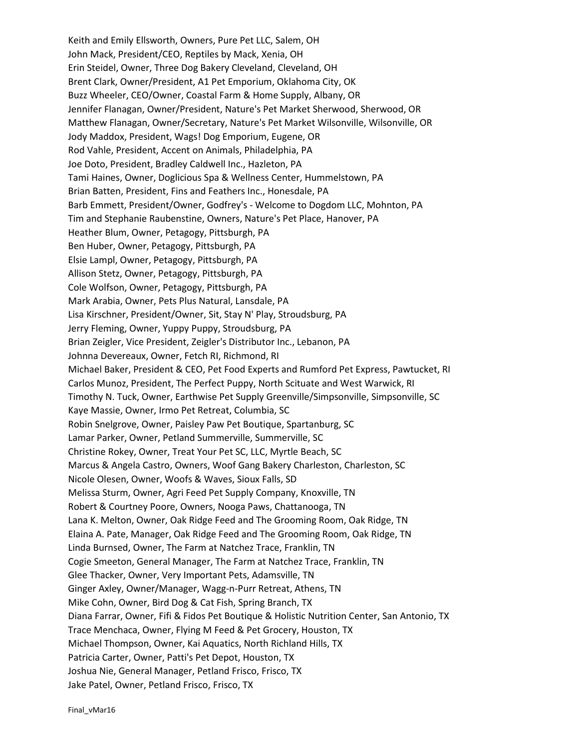Keith and Emily Ellsworth, Owners, Pure Pet LLC, Salem, OH John Mack, President/CEO, Reptiles by Mack, Xenia, OH Erin Steidel, Owner, Three Dog Bakery Cleveland, Cleveland, OH Brent Clark, Owner/President, A1 Pet Emporium, Oklahoma City, OK Buzz Wheeler, CEO/Owner, Coastal Farm & Home Supply, Albany, OR Jennifer Flanagan, Owner/President, Nature's Pet Market Sherwood, Sherwood, OR Matthew Flanagan, Owner/Secretary, Nature's Pet Market Wilsonville, Wilsonville, OR Jody Maddox, President, Wags! Dog Emporium, Eugene, OR Rod Vahle, President, Accent on Animals, Philadelphia, PA Joe Doto, President, Bradley Caldwell Inc., Hazleton, PA Tami Haines, Owner, Doglicious Spa & Wellness Center, Hummelstown, PA Brian Batten, President, Fins and Feathers Inc., Honesdale, PA Barb Emmett, President/Owner, Godfrey's - Welcome to Dogdom LLC, Mohnton, PA Tim and Stephanie Raubenstine, Owners, Nature's Pet Place, Hanover, PA Heather Blum, Owner, Petagogy, Pittsburgh, PA Ben Huber, Owner, Petagogy, Pittsburgh, PA Elsie Lampl, Owner, Petagogy, Pittsburgh, PA Allison Stetz, Owner, Petagogy, Pittsburgh, PA Cole Wolfson, Owner, Petagogy, Pittsburgh, PA Mark Arabia, Owner, Pets Plus Natural, Lansdale, PA Lisa Kirschner, President/Owner, Sit, Stay N' Play, Stroudsburg, PA Jerry Fleming, Owner, Yuppy Puppy, Stroudsburg, PA Brian Zeigler, Vice President, Zeigler's Distributor Inc., Lebanon, PA Johnna Devereaux, Owner, Fetch RI, Richmond, RI Michael Baker, President & CEO, Pet Food Experts and Rumford Pet Express, Pawtucket, RI Carlos Munoz, President, The Perfect Puppy, North Scituate and West Warwick, RI Timothy N. Tuck, Owner, Earthwise Pet Supply Greenville/Simpsonville, Simpsonville, SC Kaye Massie, Owner, Irmo Pet Retreat, Columbia, SC Robin Snelgrove, Owner, Paisley Paw Pet Boutique, Spartanburg, SC Lamar Parker, Owner, Petland Summerville, Summerville, SC Christine Rokey, Owner, Treat Your Pet SC, LLC, Myrtle Beach, SC Marcus & Angela Castro, Owners, Woof Gang Bakery Charleston, Charleston, SC Nicole Olesen, Owner, Woofs & Waves, Sioux Falls, SD Melissa Sturm, Owner, Agri Feed Pet Supply Company, Knoxville, TN Robert & Courtney Poore, Owners, Nooga Paws, Chattanooga, TN Lana K. Melton, Owner, Oak Ridge Feed and The Grooming Room, Oak Ridge, TN Elaina A. Pate, Manager, Oak Ridge Feed and The Grooming Room, Oak Ridge, TN Linda Burnsed, Owner, The Farm at Natchez Trace, Franklin, TN Cogie Smeeton, General Manager, The Farm at Natchez Trace, Franklin, TN Glee Thacker, Owner, Very Important Pets, Adamsville, TN Ginger Axley, Owner/Manager, Wagg-n-Purr Retreat, Athens, TN Mike Cohn, Owner, Bird Dog & Cat Fish, Spring Branch, TX Diana Farrar, Owner, Fifi & Fidos Pet Boutique & Holistic Nutrition Center, San Antonio, TX Trace Menchaca, Owner, Flying M Feed & Pet Grocery, Houston, TX Michael Thompson, Owner, Kai Aquatics, North Richland Hills, TX Patricia Carter, Owner, Patti's Pet Depot, Houston, TX Joshua Nie, General Manager, Petland Frisco, Frisco, TX Jake Patel, Owner, Petland Frisco, Frisco, TX